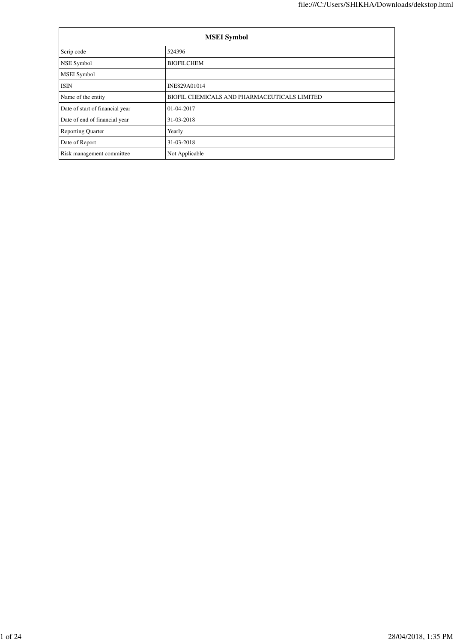| <b>MSEI</b> Symbol              |                                              |  |  |  |
|---------------------------------|----------------------------------------------|--|--|--|
| Scrip code                      | 524396                                       |  |  |  |
| NSE Symbol                      | <b>BIOFILCHEM</b>                            |  |  |  |
| <b>MSEI</b> Symbol              |                                              |  |  |  |
| <b>ISIN</b>                     | INE829A01014                                 |  |  |  |
| Name of the entity              | BIOFIL CHEMICALS AND PHARMACEUTICALS LIMITED |  |  |  |
| Date of start of financial year | 01-04-2017                                   |  |  |  |
| Date of end of financial year   | 31-03-2018                                   |  |  |  |
| <b>Reporting Quarter</b>        | Yearly                                       |  |  |  |
| Date of Report                  | 31-03-2018                                   |  |  |  |
| Risk management committee       | Not Applicable                               |  |  |  |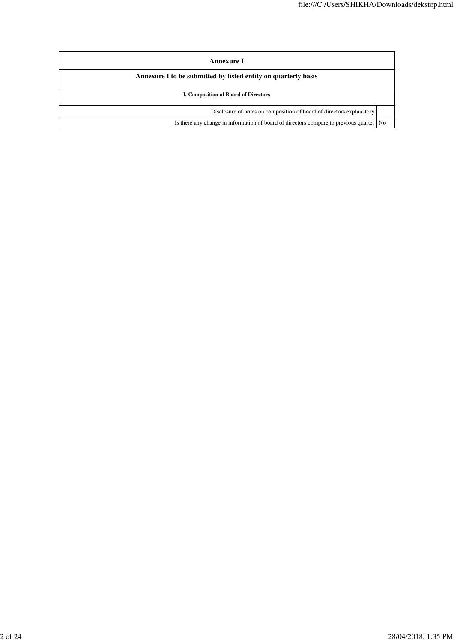| Annexure I                                                                                |  |  |  |  |
|-------------------------------------------------------------------------------------------|--|--|--|--|
| Annexure I to be submitted by listed entity on quarterly basis                            |  |  |  |  |
| I. Composition of Board of Directors                                                      |  |  |  |  |
| Disclosure of notes on composition of board of directors explanatory                      |  |  |  |  |
| Is there any change in information of board of directors compare to previous quarter   No |  |  |  |  |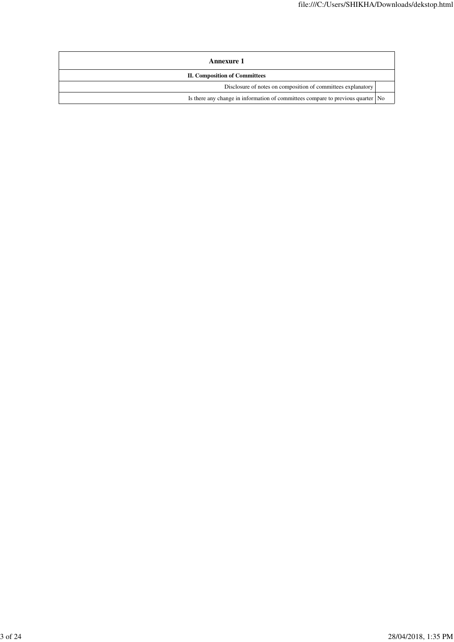| <b>Annexure 1</b>                                                               |  |
|---------------------------------------------------------------------------------|--|
| <b>II. Composition of Committees</b>                                            |  |
| Disclosure of notes on composition of committees explanatory                    |  |
| Is there any change in information of committees compare to previous quarter No |  |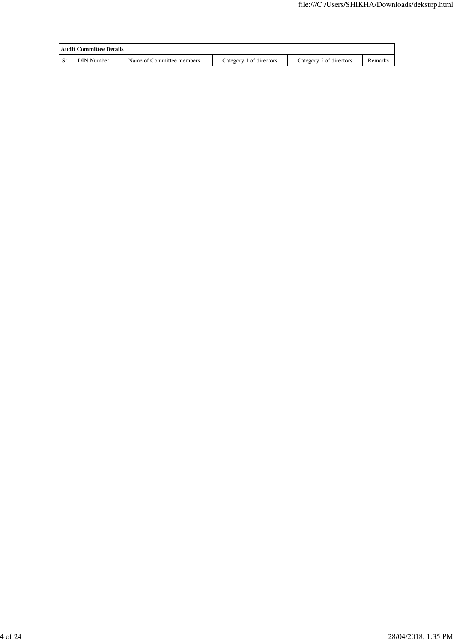|      | <b>Audit Committee Details</b> |                           |                         |                         |         |  |
|------|--------------------------------|---------------------------|-------------------------|-------------------------|---------|--|
| - Sr | DIN Number                     | Name of Committee members | Category 1 of directors | Category 2 of directors | Remarks |  |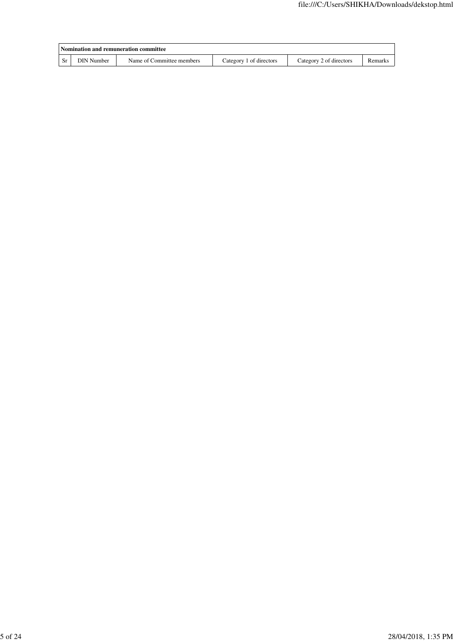| Nomination and remuneration committee |                           |                         |                         |         |  |
|---------------------------------------|---------------------------|-------------------------|-------------------------|---------|--|
| <b>DIN Number</b>                     | Name of Committee members | Category 1 of directors | Category 2 of directors | Remarks |  |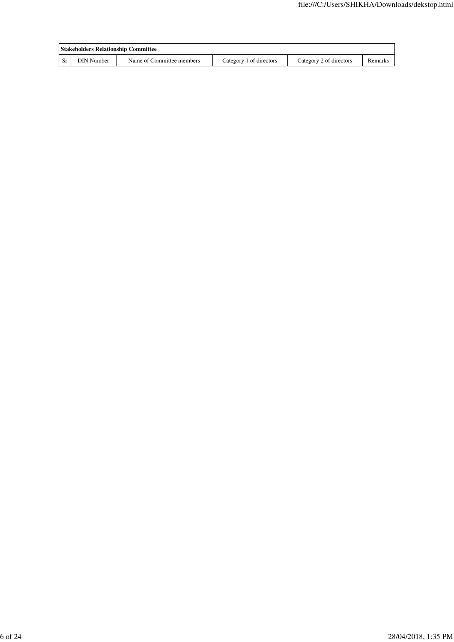| <b>Stakeholders Relationship Committee</b> |                           |                         |                         |         |
|--------------------------------------------|---------------------------|-------------------------|-------------------------|---------|
| <b>DIN Number</b>                          | Name of Committee members | Category 1 of directors | Category 2 of directors | Remarks |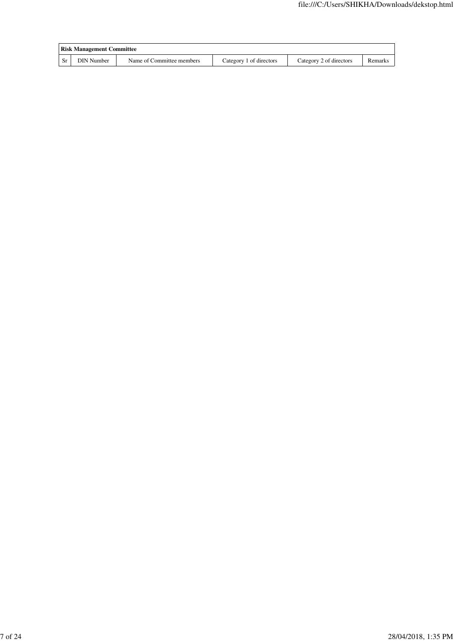| <b>Risk Management Committee</b> |                           |                         |                         |         |  |
|----------------------------------|---------------------------|-------------------------|-------------------------|---------|--|
| DIN Number                       | Name of Committee members | Category 1 of directors | Category 2 of directors | Remarks |  |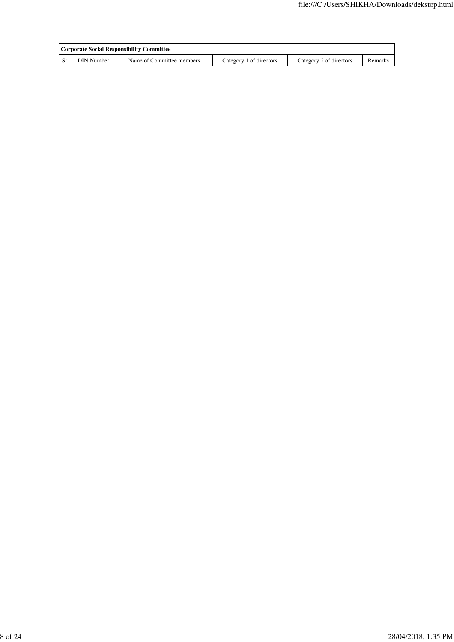| Corporate Social Responsibility Committee |                           |                         |                         |         |
|-------------------------------------------|---------------------------|-------------------------|-------------------------|---------|
| <b>DIN</b> Number                         | Name of Committee members | Category 1 of directors | Category 2 of directors | Remarks |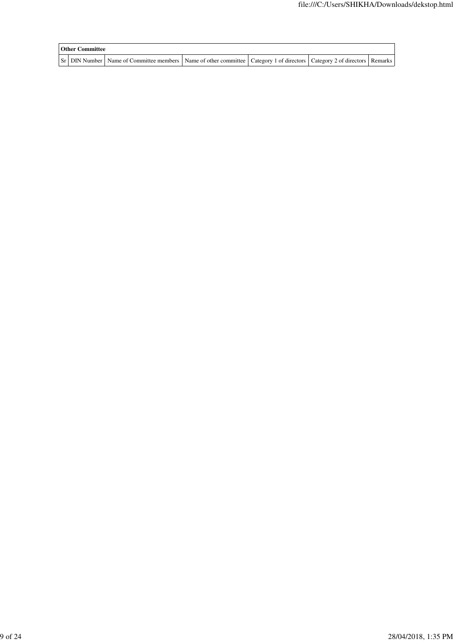| <b>Other Committee</b> |                                                                                                                               |  |  |
|------------------------|-------------------------------------------------------------------------------------------------------------------------------|--|--|
|                        | Sr DIN Number Name of Committee members Name of other committee   Category 1 of directors   Category 2 of directors   Remarks |  |  |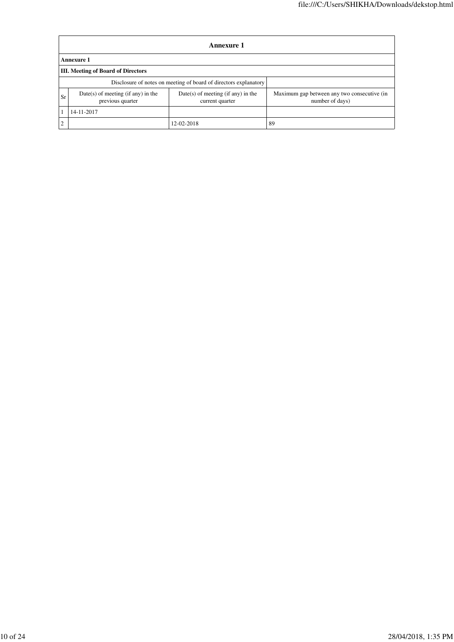|            | <b>Annexure 1</b>                                                                                                   |            |                                                                |  |  |  |  |
|------------|---------------------------------------------------------------------------------------------------------------------|------------|----------------------------------------------------------------|--|--|--|--|
|            | <b>Annexure 1</b>                                                                                                   |            |                                                                |  |  |  |  |
|            | <b>III.</b> Meeting of Board of Directors                                                                           |            |                                                                |  |  |  |  |
|            | Disclosure of notes on meeting of board of directors explanatory                                                    |            |                                                                |  |  |  |  |
| Sr         | $Date(s)$ of meeting (if any) in the<br>$Date(s)$ of meeting (if any) in the<br>previous quarter<br>current quarter |            | Maximum gap between any two consecutive (in<br>number of days) |  |  |  |  |
| 14-11-2017 |                                                                                                                     |            |                                                                |  |  |  |  |
| ∍          |                                                                                                                     | 12-02-2018 | 89                                                             |  |  |  |  |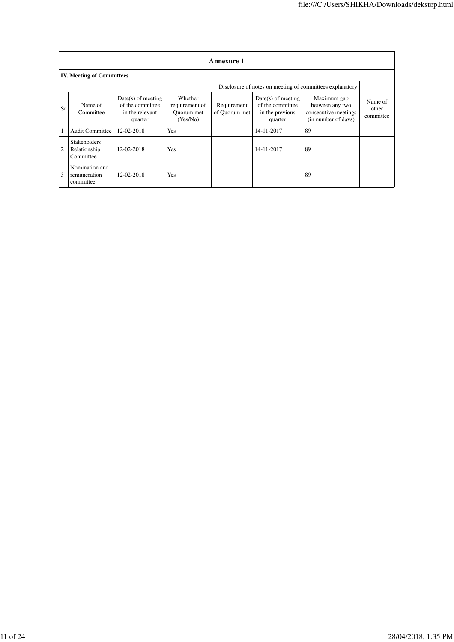|    | Annexure 1                                       |                                                                        |                                                     |                              |                                                                        |                                                                               |                               |
|----|--------------------------------------------------|------------------------------------------------------------------------|-----------------------------------------------------|------------------------------|------------------------------------------------------------------------|-------------------------------------------------------------------------------|-------------------------------|
|    | <b>IV. Meeting of Committees</b>                 |                                                                        |                                                     |                              |                                                                        |                                                                               |                               |
|    |                                                  |                                                                        |                                                     |                              |                                                                        | Disclosure of notes on meeting of committees explanatory                      |                               |
| Sr | Name of<br>Committee                             | $Date(s)$ of meeting<br>of the committee<br>in the relevant<br>quarter | Whether<br>requirement of<br>Ouorum met<br>(Yes/No) | Requirement<br>of Quorum met | $Date(s)$ of meeting<br>of the committee<br>in the previous<br>quarter | Maximum gap<br>between any two<br>consecutive meetings<br>(in number of days) | Name of<br>other<br>committee |
|    | <b>Audit Committee</b>                           | 12-02-2018                                                             | Yes                                                 |                              | 14-11-2017                                                             | 89                                                                            |                               |
| 2  | <b>Stakeholders</b><br>Relationship<br>Committee | 12-02-2018                                                             | Yes                                                 |                              | 14-11-2017                                                             | 89                                                                            |                               |
| 3  | Nomination and<br>remuneration<br>committee      | 12-02-2018                                                             | <b>Yes</b>                                          |                              |                                                                        | 89                                                                            |                               |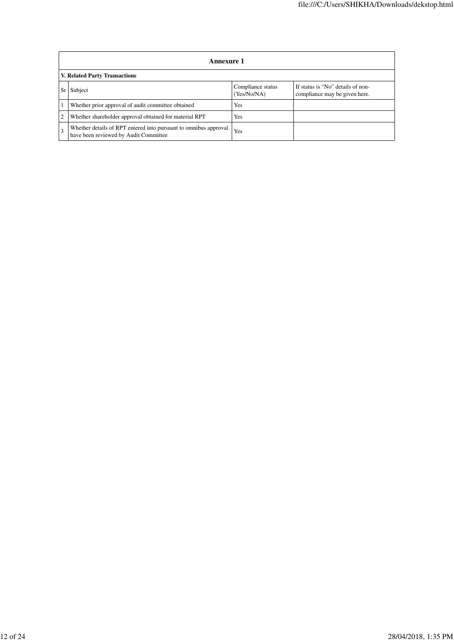|                                                                                                                         | Annexure 1                                                                                                |     |  |  |  |  |  |
|-------------------------------------------------------------------------------------------------------------------------|-----------------------------------------------------------------------------------------------------------|-----|--|--|--|--|--|
|                                                                                                                         | <b>V. Related Party Transactions</b>                                                                      |     |  |  |  |  |  |
| Compliance status<br>If status is "No" details of non-<br>Subject<br>Sr<br>(Yes/No/NA)<br>compliance may be given here. |                                                                                                           |     |  |  |  |  |  |
|                                                                                                                         | Whether prior approval of audit committee obtained                                                        | Yes |  |  |  |  |  |
| 2                                                                                                                       | Whether shareholder approval obtained for material RPT                                                    | Yes |  |  |  |  |  |
|                                                                                                                         | Whether details of RPT entered into pursuant to omnibus approval<br>have been reviewed by Audit Committee | Yes |  |  |  |  |  |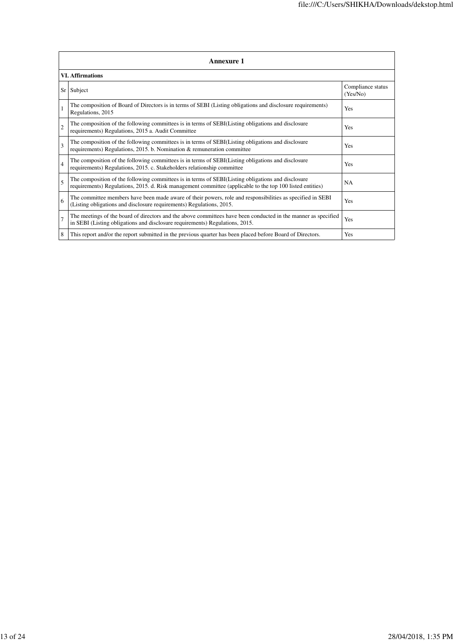|                | <b>Annexure 1</b>                                                                                                                                                                                               |                               |  |  |  |
|----------------|-----------------------------------------------------------------------------------------------------------------------------------------------------------------------------------------------------------------|-------------------------------|--|--|--|
|                | <b>VI. Affirmations</b>                                                                                                                                                                                         |                               |  |  |  |
| Sr             | Subject                                                                                                                                                                                                         | Compliance status<br>(Yes/No) |  |  |  |
|                | The composition of Board of Directors is in terms of SEBI (Listing obligations and disclosure requirements)<br>Regulations, 2015                                                                                | Yes                           |  |  |  |
| $\overline{2}$ | The composition of the following committees is in terms of SEBI(Listing obligations and disclosure<br>requirements) Regulations, 2015 a. Audit Committee                                                        | Yes                           |  |  |  |
| 3              | The composition of the following committees is in terms of SEBI(Listing obligations and disclosure<br>requirements) Regulations, 2015. b. Nomination & remuneration committee                                   | Yes                           |  |  |  |
| $\overline{4}$ | The composition of the following committees is in terms of SEBI(Listing obligations and disclosure<br>requirements) Regulations, 2015. c. Stakeholders relationship committee                                   | Yes                           |  |  |  |
| 5              | The composition of the following committees is in terms of SEBI(Listing obligations and disclosure<br>requirements) Regulations, 2015. d. Risk management committee (applicable to the top 100 listed entities) | <b>NA</b>                     |  |  |  |
| 6              | The committee members have been made aware of their powers, role and responsibilities as specified in SEBI<br>(Listing obligations and disclosure requirements) Regulations, 2015.                              | Yes                           |  |  |  |
| 7              | The meetings of the board of directors and the above committees have been conducted in the manner as specified<br>in SEBI (Listing obligations and disclosure requirements) Regulations, 2015.                  | Yes                           |  |  |  |
| 8              | This report and/or the report submitted in the previous quarter has been placed before Board of Directors.                                                                                                      | Yes                           |  |  |  |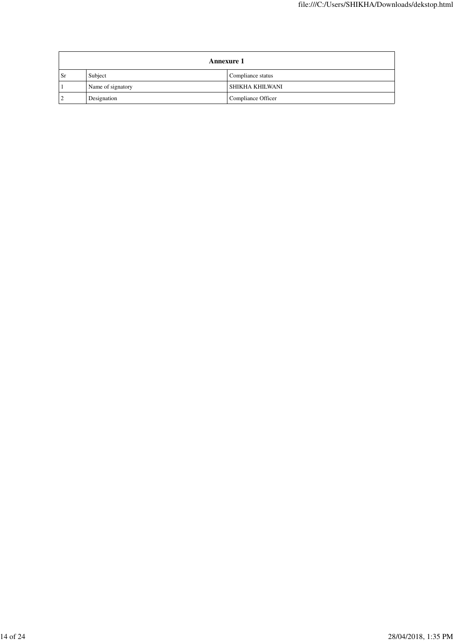|    | <b>Annexure 1</b> |                    |  |
|----|-------------------|--------------------|--|
| Sr | Subject           | Compliance status  |  |
|    | Name of signatory | SHIKHA KHILWANI    |  |
|    | Designation       | Compliance Officer |  |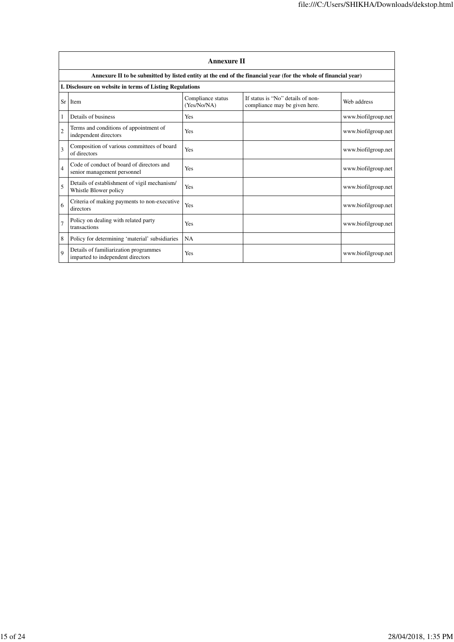|                | <b>Annexure II</b>                                                         |                                  |                                                                                                                 |                     |
|----------------|----------------------------------------------------------------------------|----------------------------------|-----------------------------------------------------------------------------------------------------------------|---------------------|
|                |                                                                            |                                  | Annexure II to be submitted by listed entity at the end of the financial year (for the whole of financial year) |                     |
|                | I. Disclosure on website in terms of Listing Regulations                   |                                  |                                                                                                                 |                     |
| Sr             | <b>Item</b>                                                                | Compliance status<br>(Yes/No/NA) | If status is "No" details of non-<br>compliance may be given here.                                              | Web address         |
| 1              | Details of business                                                        | Yes                              |                                                                                                                 | www.biofilgroup.net |
| $\overline{2}$ | Terms and conditions of appointment of<br>independent directors            | Yes                              |                                                                                                                 | www.biofilgroup.net |
| 3              | Composition of various committees of board<br>of directors                 | Yes                              |                                                                                                                 | www.biofilgroup.net |
| $\overline{4}$ | Code of conduct of board of directors and<br>senior management personnel   | Yes                              |                                                                                                                 | www.biofilgroup.net |
| 5              | Details of establishment of vigil mechanism/<br>Whistle Blower policy      | Yes                              |                                                                                                                 | www.biofilgroup.net |
| 6              | Criteria of making payments to non-executive<br>directors                  | Yes                              |                                                                                                                 | www.biofilgroup.net |
| 7              | Policy on dealing with related party<br>transactions                       | Yes                              |                                                                                                                 | www.biofilgroup.net |
| 8              | Policy for determining 'material' subsidiaries                             | <b>NA</b>                        |                                                                                                                 |                     |
| $\mathbf Q$    | Details of familiarization programmes<br>imparted to independent directors | Yes                              |                                                                                                                 | www.biofilgroup.net |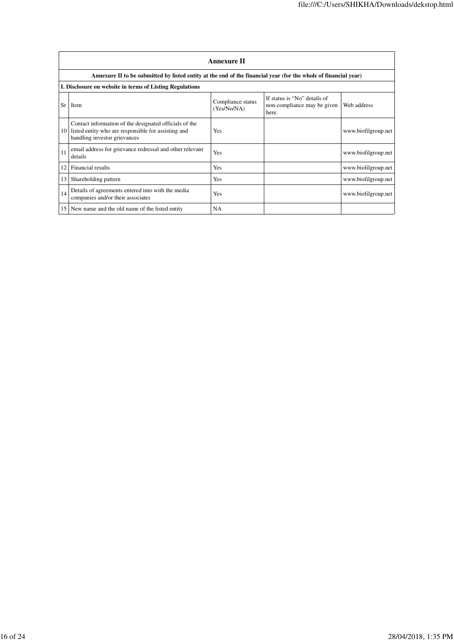|                 | <b>Annexure II</b>                                                                                                                            |                                  |                                                                      |                     |  |
|-----------------|-----------------------------------------------------------------------------------------------------------------------------------------------|----------------------------------|----------------------------------------------------------------------|---------------------|--|
|                 | Annexure II to be submitted by listed entity at the end of the financial year (for the whole of financial year)                               |                                  |                                                                      |                     |  |
|                 | I. Disclosure on website in terms of Listing Regulations                                                                                      |                                  |                                                                      |                     |  |
| Sr              | Item                                                                                                                                          | Compliance status<br>(Yes/No/NA) | If status is "No" details of<br>non-compliance may be given<br>here. | Web address         |  |
| 10              | Contact information of the designated officials of the<br>listed entity who are responsible for assisting and<br>handling investor grievances | Yes                              |                                                                      | www.biofilgroup.net |  |
| 11              | email address for grievance redressal and other relevant<br>details                                                                           | Yes                              |                                                                      | www.biofilgroup.net |  |
| 12              | Financial results                                                                                                                             | Yes                              |                                                                      | www.biofilgroup.net |  |
| 13              | Shareholding pattern                                                                                                                          | Yes                              |                                                                      | www.biofilgroup.net |  |
| 14              | Details of agreements entered into with the media<br>companies and/or their associates                                                        | Yes                              |                                                                      | www.biofilgroup.net |  |
| 15 <sup>1</sup> | New name and the old name of the listed entity                                                                                                | <b>NA</b>                        |                                                                      |                     |  |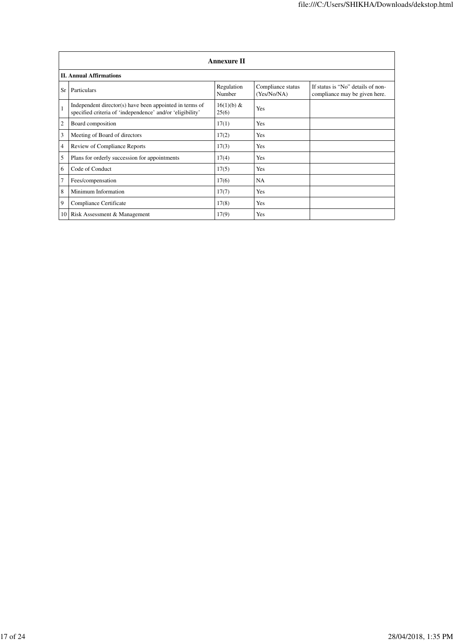|    | <b>Annexure II</b>                                                                                                   |                      |                                  |                                                                    |
|----|----------------------------------------------------------------------------------------------------------------------|----------------------|----------------------------------|--------------------------------------------------------------------|
|    | <b>II. Annual Affirmations</b>                                                                                       |                      |                                  |                                                                    |
| Sr | Particulars                                                                                                          | Regulation<br>Number | Compliance status<br>(Yes/No/NA) | If status is "No" details of non-<br>compliance may be given here. |
|    | Independent director(s) have been appointed in terms of<br>specified criteria of 'independence' and/or 'eligibility' | 16(1)(b) &<br>25(6)  | Yes                              |                                                                    |
| 2  | Board composition                                                                                                    | 17(1)                | Yes                              |                                                                    |
| 3  | Meeting of Board of directors                                                                                        | 17(2)                | Yes                              |                                                                    |
| 4  | Review of Compliance Reports                                                                                         | 17(3)                | Yes                              |                                                                    |
| 5  | Plans for orderly succession for appointments                                                                        | 17(4)                | Yes                              |                                                                    |
| 6  | Code of Conduct                                                                                                      | 17(5)                | Yes                              |                                                                    |
| 7  | Fees/compensation                                                                                                    | 17(6)                | <b>NA</b>                        |                                                                    |
| 8  | Minimum Information                                                                                                  | 17(7)                | Yes                              |                                                                    |
| 9  | Compliance Certificate                                                                                               | 17(8)                | Yes                              |                                                                    |
|    | 10   Risk Assessment & Management                                                                                    | 17(9)                | Yes                              |                                                                    |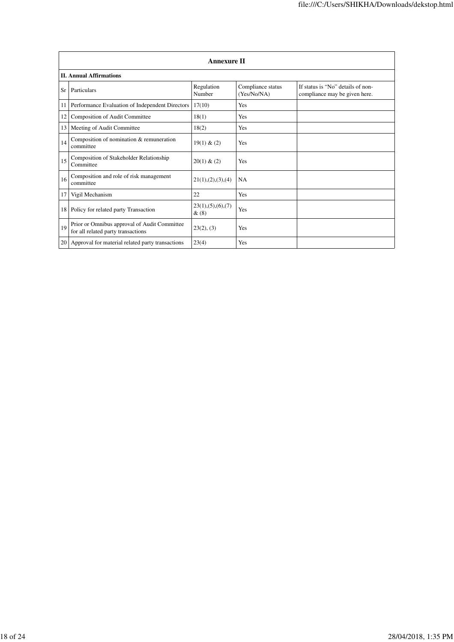|                 | <b>Annexure II</b>                                                                 |                              |                                  |                                                                    |
|-----------------|------------------------------------------------------------------------------------|------------------------------|----------------------------------|--------------------------------------------------------------------|
|                 | <b>II. Annual Affirmations</b>                                                     |                              |                                  |                                                                    |
| Sr              | Particulars                                                                        | Regulation<br>Number         | Compliance status<br>(Yes/No/NA) | If status is "No" details of non-<br>compliance may be given here. |
| 11              | Performance Evaluation of Independent Directors                                    | 17(10)                       | Yes                              |                                                                    |
| 12              | Composition of Audit Committee                                                     | 18(1)                        | Yes                              |                                                                    |
| 13 <sup>1</sup> | Meeting of Audit Committee                                                         | 18(2)                        | Yes                              |                                                                    |
| 14              | Composition of nomination & remuneration<br>committee                              | 19(1) & (2)                  | Yes                              |                                                                    |
| 15              | Composition of Stakeholder Relationship<br>Committee                               | 20(1) & (2)                  | Yes                              |                                                                    |
| 16              | Composition and role of risk management<br>committee                               | 21(1), (2), (3), (4)         | <b>NA</b>                        |                                                                    |
| 17              | Vigil Mechanism                                                                    | 22                           | Yes                              |                                                                    |
| 18              | Policy for related party Transaction                                               | 23(1), (5), (6), (7)<br>&(8) | Yes                              |                                                                    |
| 19              | Prior or Omnibus approval of Audit Committee<br>for all related party transactions | 23(2), (3)                   | Yes                              |                                                                    |
|                 | 20   Approval for material related party transactions                              | 23(4)                        | Yes                              |                                                                    |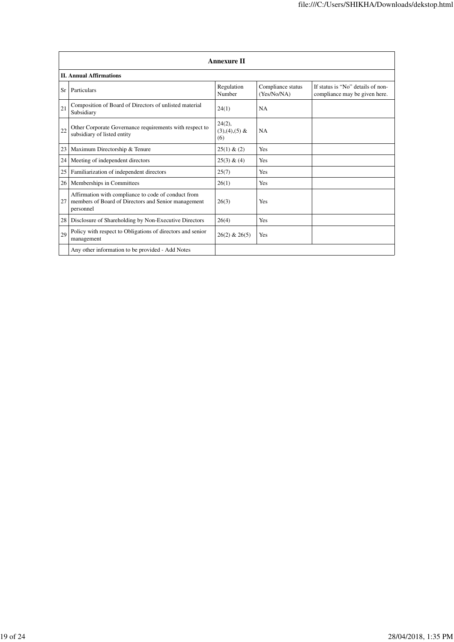|    | <b>Annexure II</b>                                                                                                      |                                     |                                  |                                                                    |
|----|-------------------------------------------------------------------------------------------------------------------------|-------------------------------------|----------------------------------|--------------------------------------------------------------------|
|    | <b>II. Annual Affirmations</b>                                                                                          |                                     |                                  |                                                                    |
| Sr | Particulars                                                                                                             | Regulation<br>Number                | Compliance status<br>(Yes/No/NA) | If status is "No" details of non-<br>compliance may be given here. |
| 21 | Composition of Board of Directors of unlisted material<br>Subsidiary                                                    | 24(1)                               | <b>NA</b>                        |                                                                    |
| 22 | Other Corporate Governance requirements with respect to<br>subsidiary of listed entity                                  | $24(2)$ ,<br>$(3),(4),(5)$ &<br>(6) | <b>NA</b>                        |                                                                    |
| 23 | Maximum Directorship & Tenure                                                                                           | 25(1) & (2)                         | Yes                              |                                                                    |
| 24 | Meeting of independent directors                                                                                        | 25(3) & (4)                         | Yes                              |                                                                    |
| 25 | Familiarization of independent directors                                                                                | 25(7)                               | Yes                              |                                                                    |
| 26 | Memberships in Committees                                                                                               | 26(1)                               | Yes                              |                                                                    |
| 27 | Affirmation with compliance to code of conduct from<br>members of Board of Directors and Senior management<br>personnel | 26(3)                               | Yes                              |                                                                    |
| 28 | Disclosure of Shareholding by Non-Executive Directors                                                                   | 26(4)                               | Yes                              |                                                                    |
| 29 | Policy with respect to Obligations of directors and senior<br>management                                                | $26(2)$ & $26(5)$                   | <b>Yes</b>                       |                                                                    |
|    | Any other information to be provided - Add Notes                                                                        |                                     |                                  |                                                                    |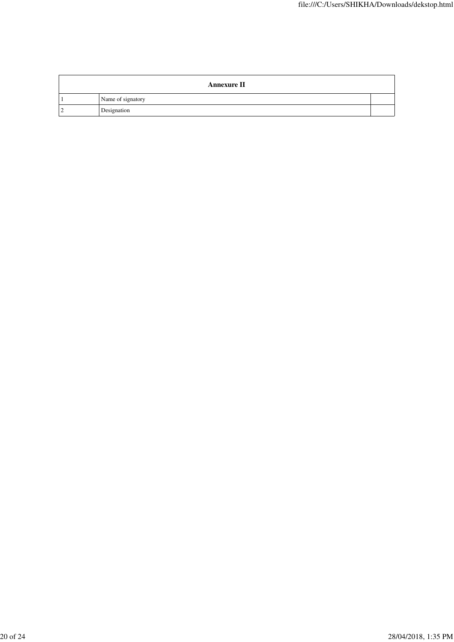| <b>Annexure II</b> |  |
|--------------------|--|
| Name of signatory  |  |
| Designation        |  |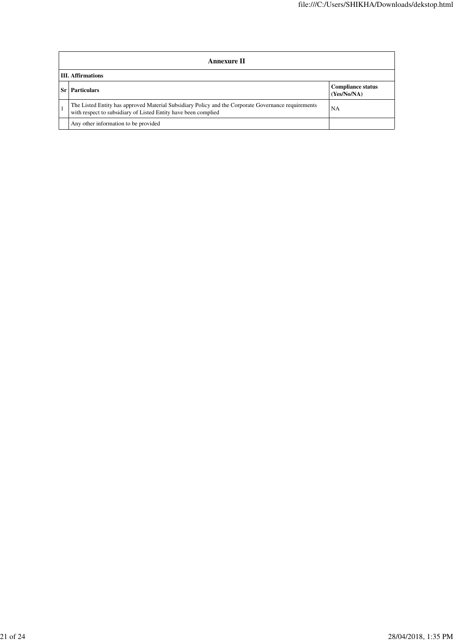| Annexure II                                                                                                                                                           |                                         |  |
|-----------------------------------------------------------------------------------------------------------------------------------------------------------------------|-----------------------------------------|--|
| <b>III.</b> Affirmations                                                                                                                                              |                                         |  |
| <b>Particulars</b>                                                                                                                                                    | <b>Compliance status</b><br>(Yes/No/NA) |  |
| The Listed Entity has approved Material Subsidiary Policy and the Corporate Governance requirements<br>with respect to subsidiary of Listed Entity have been complied | NA                                      |  |
| Any other information to be provided                                                                                                                                  |                                         |  |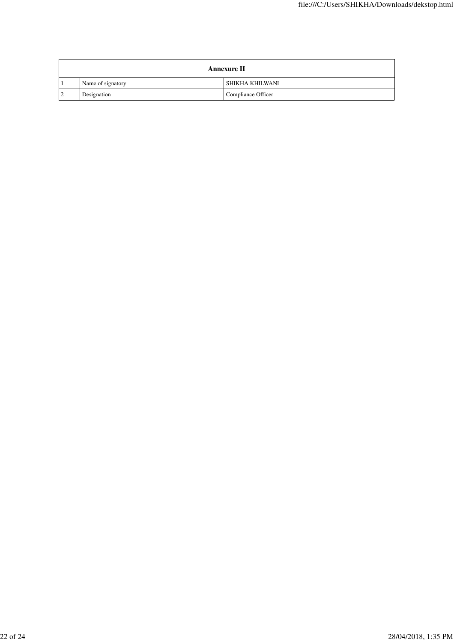| <b>Annexure II</b> |                    |  |
|--------------------|--------------------|--|
| Name of signatory  | SHIKHA KHILWANI    |  |
| Designation        | Compliance Officer |  |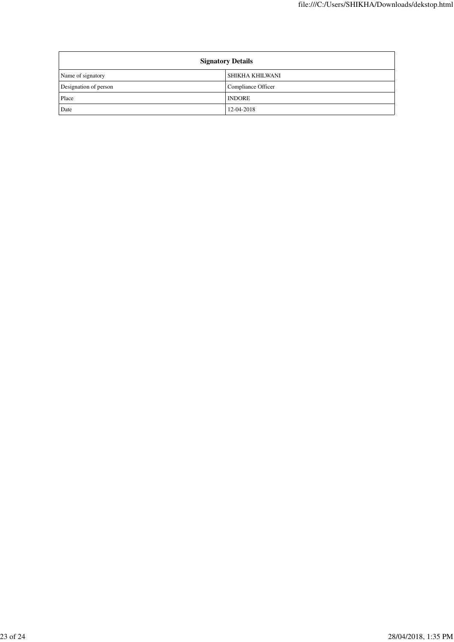| <b>Signatory Details</b> |                    |
|--------------------------|--------------------|
| Name of signatory        | SHIKHA KHILWANI    |
| Designation of person    | Compliance Officer |
| Place                    | <b>INDORE</b>      |
| Date                     | 12-04-2018         |